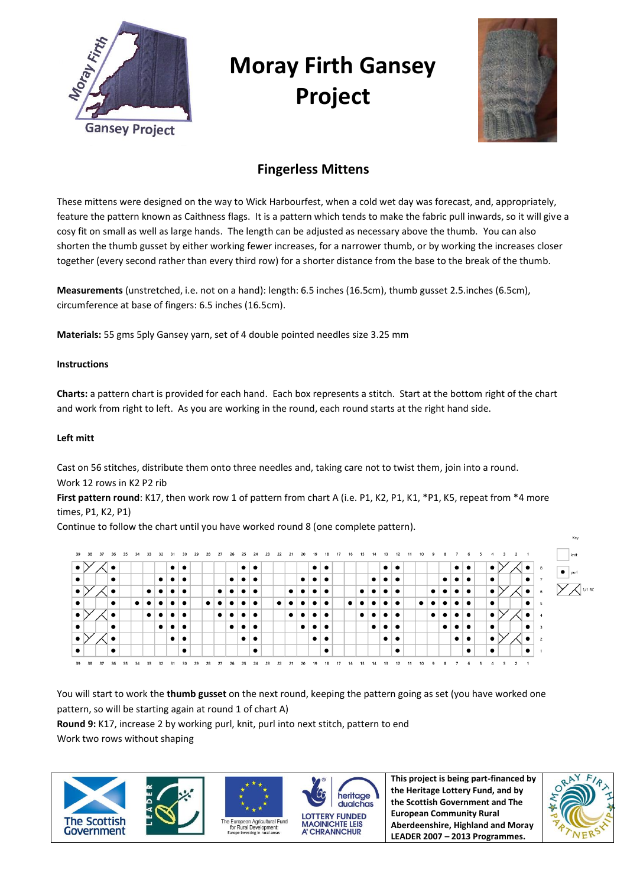

# **Moray Firth Gansey Project**



# **Fingerless Mittens**

These mittens were designed on the way to Wick Harbourfest, when a cold wet day was forecast, and, appropriately, feature the pattern known as Caithness flags. It is a pattern which tends to make the fabric pull inwards, so it will give a cosy fit on small as well as large hands. The length can be adjusted as necessary above the thumb. You can also shorten the thumb gusset by either working fewer increases, for a narrower thumb, or by working the increases closer together (every second rather than every third row) for a shorter distance from the base to the break of the thumb.

**Measurements** (unstretched, i.e. not on a hand): length: 6.5 inches (16.5cm), thumb gusset 2.5.inches (6.5cm), circumference at base of fingers: 6.5 inches (16.5cm).

**Materials:** 55 gms 5ply Gansey yarn, set of 4 double pointed needles size 3.25 mm

## **Instructions**

**Charts:** a pattern chart is provided for each hand. Each box represents a stitch. Start at the bottom right of the chart and work from right to left. As you are working in the round, each round starts at the right hand side.

## **Left mitt**

Cast on 56 stitches, distribute them onto three needles and, taking care not to twist them, join into a round. Work 12 rows in K2 P2 rib

First pattern round: K17, then work row 1 of pattern from chart A (i.e. P1, K2, P1, K1, \*P1, K5, repeat from \*4 more times, P1, K2, P1)

Continue to follow the chart until you have worked round 8 (one complete pattern).



You will start to work the **thumb gusset** on the next round, keeping the pattern going as set (you have worked one pattern, so will be starting again at round 1 of chart A)

**Round 9:** K17, increase 2 by working purl, knit, purl into next stitch, pattern to end Work two rows without shaping

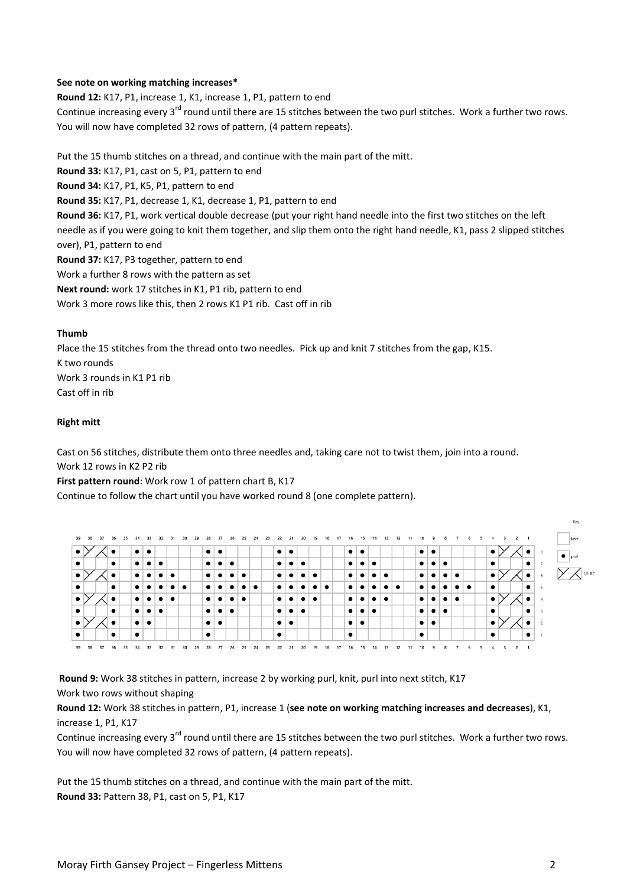#### **See note on working matching increases\***

**Round 12:** K17, P1, increase 1, K1, increase 1, P1, pattern to end

Continue increasing every 3<sup>rd</sup> round until there are 15 stitches between the two purl stitches. Work a further two rows. You will now have completed 32 rows of pattern, (4 pattern repeats).

Put the 15 thumb stitches on a thread, and continue with the main part of the mitt.

**Round 33:** K17, P1, cast on 5, P1, pattern to end

**Round 34:** K17, P1, K5, P1, pattern to end

**Round 35:** K17, P1, decrease 1, K1, decrease 1, P1, pattern to end

**Round 36:** K17, P1, work vertical double decrease (put your right hand needle into the first two stitches on the left needle as if you were going to knit them together, and slip them onto the right hand needle, K1, pass 2 slipped stitches over), P1, pattern to end

**Round 37:** K17, P3 together, pattern to end

Work a further 8 rows with the pattern as set

**Next round:** work 17 stitches in K1, P1 rib, pattern to end

Work 3 more rows like this, then 2 rows K1 P1 rib. Cast off in rib

#### **Thumb**

Place the 15 stitches from the thread onto two needles. Pick up and knit 7 stitches from the gap, K15. K two rounds Work 3 rounds in K1 P1 rib Cast off in rib

#### **Right mitt**

Cast on 56 stitches, distribute them onto three needles and, taking care not to twist them, join into a round. Work 12 rows in K2 P2 rib

#### **First pattern round**: Work row 1 of pattern chart B, K17

Continue to follow the chart until you have worked round 8 (one complete pattern).



**Round 9:** Work 38 stitches in pattern, increase 2 by working purl, knit, purl into next stitch, K17 Work two rows without shaping

**Round 12:** Work 38 stitches in pattern, P1, increase 1 (**see note on working matching increases and decreases**), K1, increase 1, P1, K17

Continue increasing every 3<sup>rd</sup> round until there are 15 stitches between the two purl stitches. Work a further two rows. You will now have completed 32 rows of pattern, (4 pattern repeats).

Put the 15 thumb stitches on a thread, and continue with the main part of the mitt. **Round 33:** Pattern 38, P1, cast on 5, P1, K17